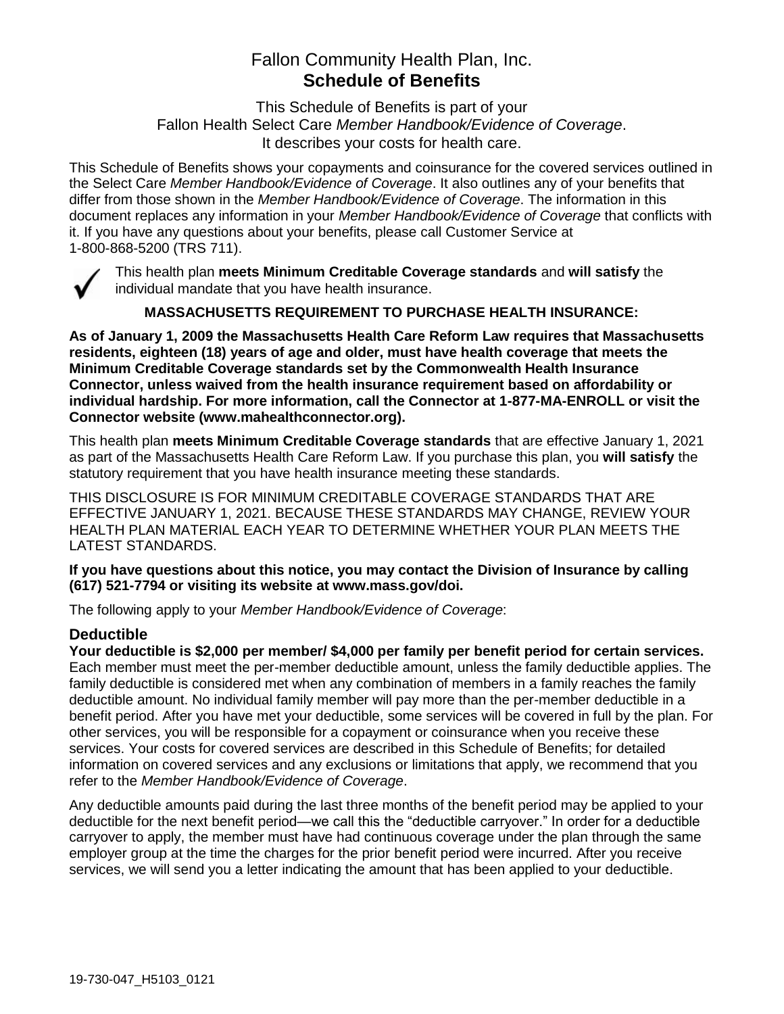## Fallon Community Health Plan, Inc. **Schedule of Benefits**

This Schedule of Benefits is part of your Fallon Health Select Care *Member Handbook/Evidence of Coverage*. It describes your costs for health care.

This Schedule of Benefits shows your copayments and coinsurance for the covered services outlined in the Select Care *Member Handbook/Evidence of Coverage*. It also outlines any of your benefits that differ from those shown in the *Member Handbook/Evidence of Coverage*. The information in this document replaces any information in your *Member Handbook/Evidence of Coverage* that conflicts with it. If you have any questions about your benefits, please call Customer Service at 1-800-868-5200 (TRS 711).



This health plan **meets Minimum Creditable Coverage standards** and **will satisfy** the individual mandate that you have health insurance.

**MASSACHUSETTS REQUIREMENT TO PURCHASE HEALTH INSURANCE:**

**As of January 1, 2009 the Massachusetts Health Care Reform Law requires that Massachusetts residents, eighteen (18) years of age and older, must have health coverage that meets the Minimum Creditable Coverage standards set by the Commonwealth Health Insurance Connector, unless waived from the health insurance requirement based on affordability or individual hardship. For more information, call the Connector at 1-877-MA-ENROLL or visit the Connector website (www.mahealthconnector.org).**

This health plan **meets Minimum Creditable Coverage standards** that are effective January 1, 2021 as part of the Massachusetts Health Care Reform Law. If you purchase this plan, you **will satisfy** the statutory requirement that you have health insurance meeting these standards.

THIS DISCLOSURE IS FOR MINIMUM CREDITABLE COVERAGE STANDARDS THAT ARE EFFECTIVE JANUARY 1, 2021. BECAUSE THESE STANDARDS MAY CHANGE, REVIEW YOUR HEALTH PLAN MATERIAL EACH YEAR TO DETERMINE WHETHER YOUR PLAN MEETS THE LATEST STANDARDS.

**If you have questions about this notice, you may contact the Division of Insurance by calling (617) 521-7794 or visiting its website at www.mass.gov/doi.** 

The following apply to your *Member Handbook/Evidence of Coverage*:

### **Deductible**

**Your deductible is \$2,000 per member/ \$4,000 per family per benefit period for certain services.** Each member must meet the per-member deductible amount, unless the family deductible applies. The family deductible is considered met when any combination of members in a family reaches the family deductible amount. No individual family member will pay more than the per-member deductible in a benefit period. After you have met your deductible, some services will be covered in full by the plan. For other services, you will be responsible for a copayment or coinsurance when you receive these services. Your costs for covered services are described in this Schedule of Benefits; for detailed information on covered services and any exclusions or limitations that apply, we recommend that you refer to the *Member Handbook/Evidence of Coverage*.

Any deductible amounts paid during the last three months of the benefit period may be applied to your deductible for the next benefit period—we call this the "deductible carryover." In order for a deductible carryover to apply, the member must have had continuous coverage under the plan through the same employer group at the time the charges for the prior benefit period were incurred. After you receive services, we will send you a letter indicating the amount that has been applied to your deductible.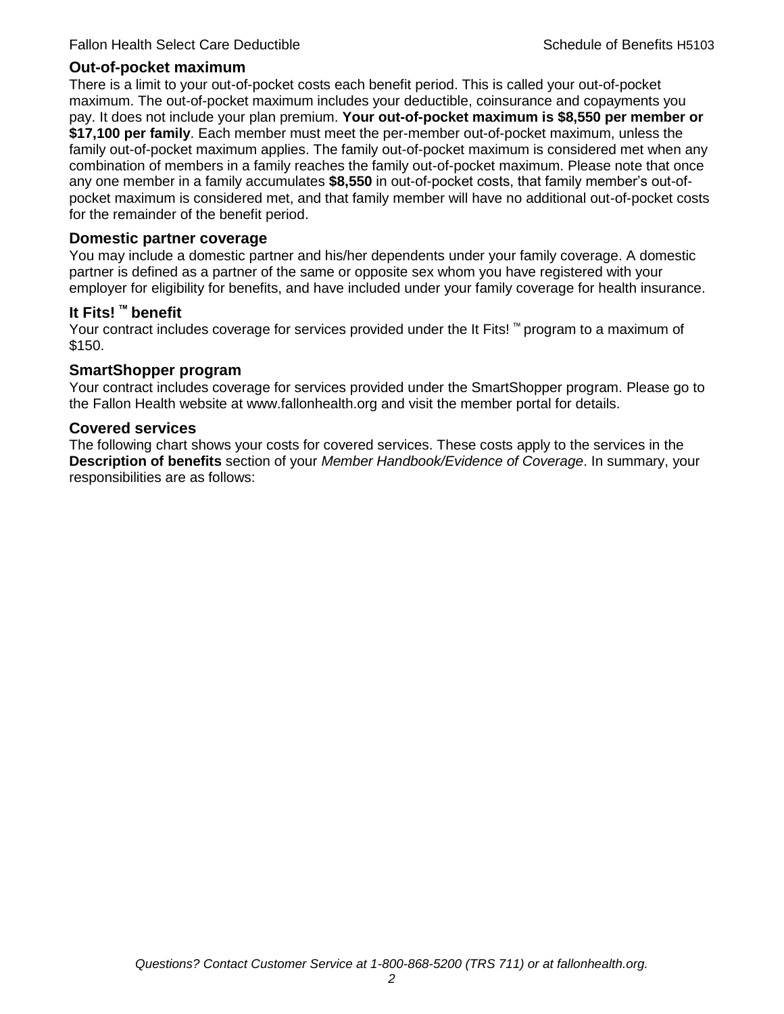#### **Out-of-pocket maximum**

There is a limit to your out-of-pocket costs each benefit period. This is called your out-of-pocket maximum. The out-of-pocket maximum includes your deductible, coinsurance and copayments you pay. It does not include your plan premium. **Your out-of-pocket maximum is \$8,550 per member or \$17,100 per family**. Each member must meet the per-member out-of-pocket maximum, unless the family out-of-pocket maximum applies. The family out-of-pocket maximum is considered met when any combination of members in a family reaches the family out-of-pocket maximum. Please note that once any one member in a family accumulates **\$8,550** in out-of-pocket costs, that family member's out-ofpocket maximum is considered met, and that family member will have no additional out-of-pocket costs for the remainder of the benefit period.

#### **Domestic partner coverage**

You may include a domestic partner and his/her dependents under your family coverage. A domestic partner is defined as a partner of the same or opposite sex whom you have registered with your employer for eligibility for benefits, and have included under your family coverage for health insurance.

#### **It Fits! ™ benefit**

Your contract includes coverage for services provided under the It Fits! ™ program to a maximum of \$150.

#### **SmartShopper program**

Your contract includes coverage for services provided under the SmartShopper program. Please go to the Fallon Health website at www.fallonhealth.org and visit the member portal for details.

#### **Covered services**

The following chart shows your costs for covered services. These costs apply to the services in the **Description of benefits** section of your *Member Handbook/Evidence of Coverage*. In summary, your responsibilities are as follows: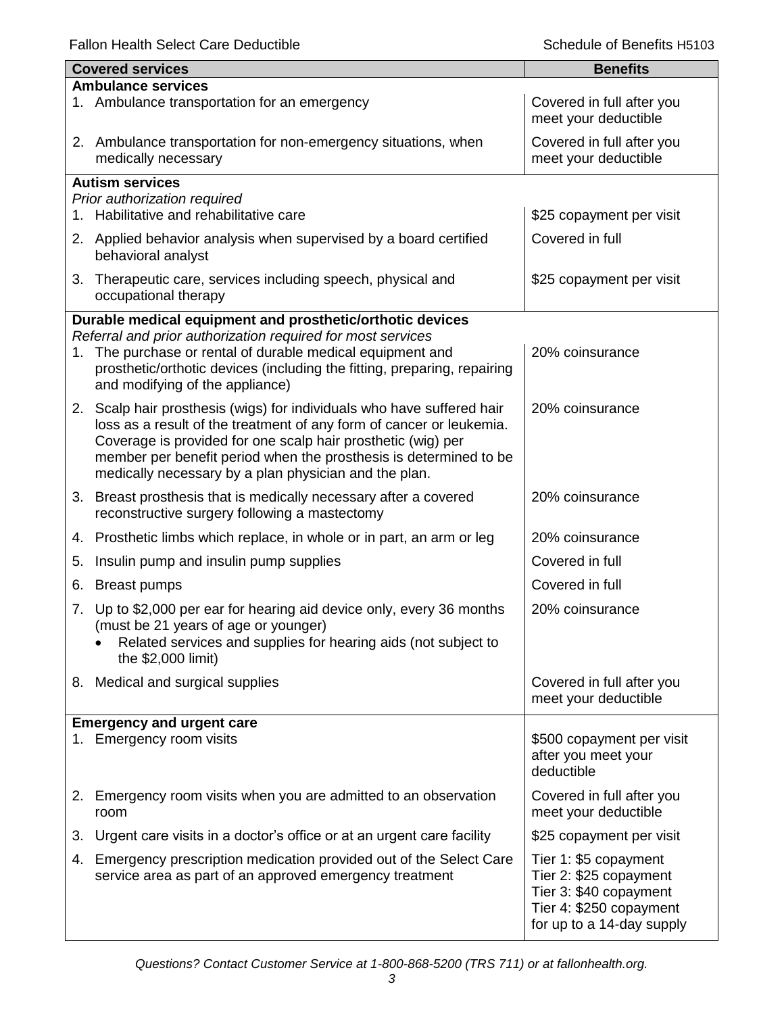|    | <b>Covered services</b>                                                                                                                                                | <b>Benefits</b>                                   |  |  |
|----|------------------------------------------------------------------------------------------------------------------------------------------------------------------------|---------------------------------------------------|--|--|
|    | <b>Ambulance services</b>                                                                                                                                              |                                                   |  |  |
|    | 1. Ambulance transportation for an emergency                                                                                                                           | Covered in full after you<br>meet your deductible |  |  |
|    | 2. Ambulance transportation for non-emergency situations, when<br>medically necessary                                                                                  | Covered in full after you<br>meet your deductible |  |  |
|    | <b>Autism services</b>                                                                                                                                                 |                                                   |  |  |
|    | Prior authorization required                                                                                                                                           |                                                   |  |  |
| 1. | Habilitative and rehabilitative care                                                                                                                                   | \$25 copayment per visit                          |  |  |
|    | 2. Applied behavior analysis when supervised by a board certified<br>behavioral analyst                                                                                | Covered in full                                   |  |  |
|    | 3. Therapeutic care, services including speech, physical and<br>occupational therapy                                                                                   | \$25 copayment per visit                          |  |  |
|    | Durable medical equipment and prosthetic/orthotic devices                                                                                                              |                                                   |  |  |
|    | Referral and prior authorization required for most services                                                                                                            |                                                   |  |  |
| 1. | The purchase or rental of durable medical equipment and<br>prosthetic/orthotic devices (including the fitting, preparing, repairing<br>and modifying of the appliance) | 20% coinsurance                                   |  |  |
|    | 2. Scalp hair prosthesis (wigs) for individuals who have suffered hair                                                                                                 | 20% coinsurance                                   |  |  |
|    | loss as a result of the treatment of any form of cancer or leukemia.                                                                                                   |                                                   |  |  |
|    | Coverage is provided for one scalp hair prosthetic (wig) per                                                                                                           |                                                   |  |  |
|    | member per benefit period when the prosthesis is determined to be<br>medically necessary by a plan physician and the plan.                                             |                                                   |  |  |
|    |                                                                                                                                                                        |                                                   |  |  |
|    | 3. Breast prosthesis that is medically necessary after a covered<br>reconstructive surgery following a mastectomy                                                      | 20% coinsurance                                   |  |  |
| 4. | Prosthetic limbs which replace, in whole or in part, an arm or leg                                                                                                     | 20% coinsurance                                   |  |  |
| 5. | Insulin pump and insulin pump supplies                                                                                                                                 | Covered in full                                   |  |  |
| 6. | <b>Breast pumps</b>                                                                                                                                                    | Covered in full                                   |  |  |
| 7. | Up to \$2,000 per ear for hearing aid device only, every 36 months                                                                                                     | 20% coinsurance                                   |  |  |
|    | (must be 21 years of age or younger)                                                                                                                                   |                                                   |  |  |
|    | Related services and supplies for hearing aids (not subject to<br>the \$2,000 limit)                                                                                   |                                                   |  |  |
|    |                                                                                                                                                                        |                                                   |  |  |
|    | 8. Medical and surgical supplies                                                                                                                                       | Covered in full after you<br>meet your deductible |  |  |
|    |                                                                                                                                                                        |                                                   |  |  |
|    | <b>Emergency and urgent care</b><br>1. Emergency room visits                                                                                                           | \$500 copayment per visit                         |  |  |
|    |                                                                                                                                                                        | after you meet your                               |  |  |
|    |                                                                                                                                                                        | deductible                                        |  |  |
| 2. | Emergency room visits when you are admitted to an observation                                                                                                          | Covered in full after you                         |  |  |
|    | room                                                                                                                                                                   | meet your deductible                              |  |  |
| 3. | Urgent care visits in a doctor's office or at an urgent care facility                                                                                                  | \$25 copayment per visit                          |  |  |
| 4. | Emergency prescription medication provided out of the Select Care                                                                                                      | Tier 1: \$5 copayment                             |  |  |
|    | service area as part of an approved emergency treatment                                                                                                                | Tier 2: \$25 copayment                            |  |  |
|    |                                                                                                                                                                        | Tier 3: \$40 copayment<br>Tier 4: \$250 copayment |  |  |
|    |                                                                                                                                                                        | for up to a 14-day supply                         |  |  |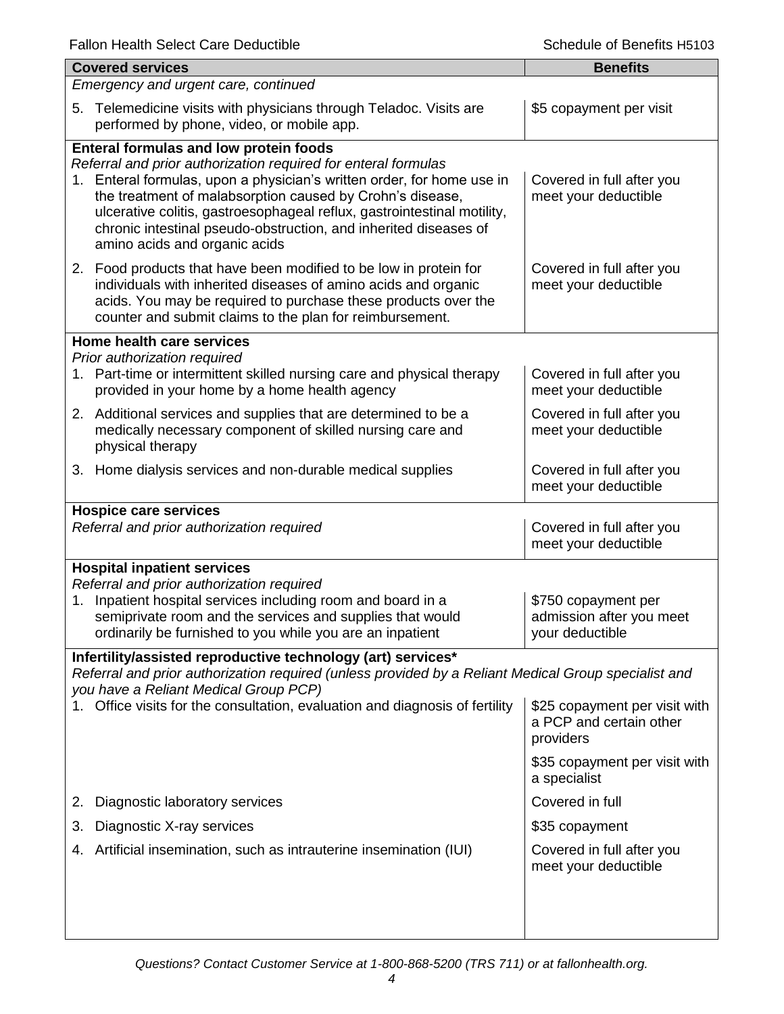| <b>Covered services</b>                                                                                                                                                                                                                                                                                                                                                                                                         | <b>Benefits</b>                                                       |  |  |
|---------------------------------------------------------------------------------------------------------------------------------------------------------------------------------------------------------------------------------------------------------------------------------------------------------------------------------------------------------------------------------------------------------------------------------|-----------------------------------------------------------------------|--|--|
| Emergency and urgent care, continued                                                                                                                                                                                                                                                                                                                                                                                            |                                                                       |  |  |
| Telemedicine visits with physicians through Teladoc. Visits are<br>5.<br>performed by phone, video, or mobile app.                                                                                                                                                                                                                                                                                                              | \$5 copayment per visit                                               |  |  |
| Enteral formulas and low protein foods<br>Referral and prior authorization required for enteral formulas<br>1. Enteral formulas, upon a physician's written order, for home use in<br>the treatment of malabsorption caused by Crohn's disease,<br>ulcerative colitis, gastroesophageal reflux, gastrointestinal motility,<br>chronic intestinal pseudo-obstruction, and inherited diseases of<br>amino acids and organic acids | Covered in full after you<br>meet your deductible                     |  |  |
| 2. Food products that have been modified to be low in protein for<br>individuals with inherited diseases of amino acids and organic<br>acids. You may be required to purchase these products over the<br>counter and submit claims to the plan for reimbursement.                                                                                                                                                               | Covered in full after you<br>meet your deductible                     |  |  |
| Home health care services<br>Prior authorization required                                                                                                                                                                                                                                                                                                                                                                       |                                                                       |  |  |
| 1. Part-time or intermittent skilled nursing care and physical therapy<br>provided in your home by a home health agency                                                                                                                                                                                                                                                                                                         | Covered in full after you<br>meet your deductible                     |  |  |
| 2. Additional services and supplies that are determined to be a<br>medically necessary component of skilled nursing care and<br>physical therapy                                                                                                                                                                                                                                                                                | Covered in full after you<br>meet your deductible                     |  |  |
| 3. Home dialysis services and non-durable medical supplies                                                                                                                                                                                                                                                                                                                                                                      | Covered in full after you<br>meet your deductible                     |  |  |
| <b>Hospice care services</b><br>Referral and prior authorization required                                                                                                                                                                                                                                                                                                                                                       | Covered in full after you                                             |  |  |
|                                                                                                                                                                                                                                                                                                                                                                                                                                 | meet your deductible                                                  |  |  |
| <b>Hospital inpatient services</b><br>Referral and prior authorization required<br>Inpatient hospital services including room and board in a<br>1.<br>semiprivate room and the services and supplies that would<br>ordinarily be furnished to you while you are an inpatient                                                                                                                                                    | \$750 copayment per<br>admission after you meet<br>your deductible    |  |  |
| Infertility/assisted reproductive technology (art) services*                                                                                                                                                                                                                                                                                                                                                                    |                                                                       |  |  |
| Referral and prior authorization required (unless provided by a Reliant Medical Group specialist and<br>you have a Reliant Medical Group PCP)                                                                                                                                                                                                                                                                                   |                                                                       |  |  |
| Office visits for the consultation, evaluation and diagnosis of fertility                                                                                                                                                                                                                                                                                                                                                       | \$25 copayment per visit with<br>a PCP and certain other<br>providers |  |  |
|                                                                                                                                                                                                                                                                                                                                                                                                                                 | \$35 copayment per visit with<br>a specialist                         |  |  |
| Diagnostic laboratory services<br>2.                                                                                                                                                                                                                                                                                                                                                                                            | Covered in full                                                       |  |  |
| Diagnostic X-ray services<br>3.                                                                                                                                                                                                                                                                                                                                                                                                 | \$35 copayment                                                        |  |  |
| Artificial insemination, such as intrauterine insemination (IUI)<br>4.                                                                                                                                                                                                                                                                                                                                                          | Covered in full after you<br>meet your deductible                     |  |  |
|                                                                                                                                                                                                                                                                                                                                                                                                                                 |                                                                       |  |  |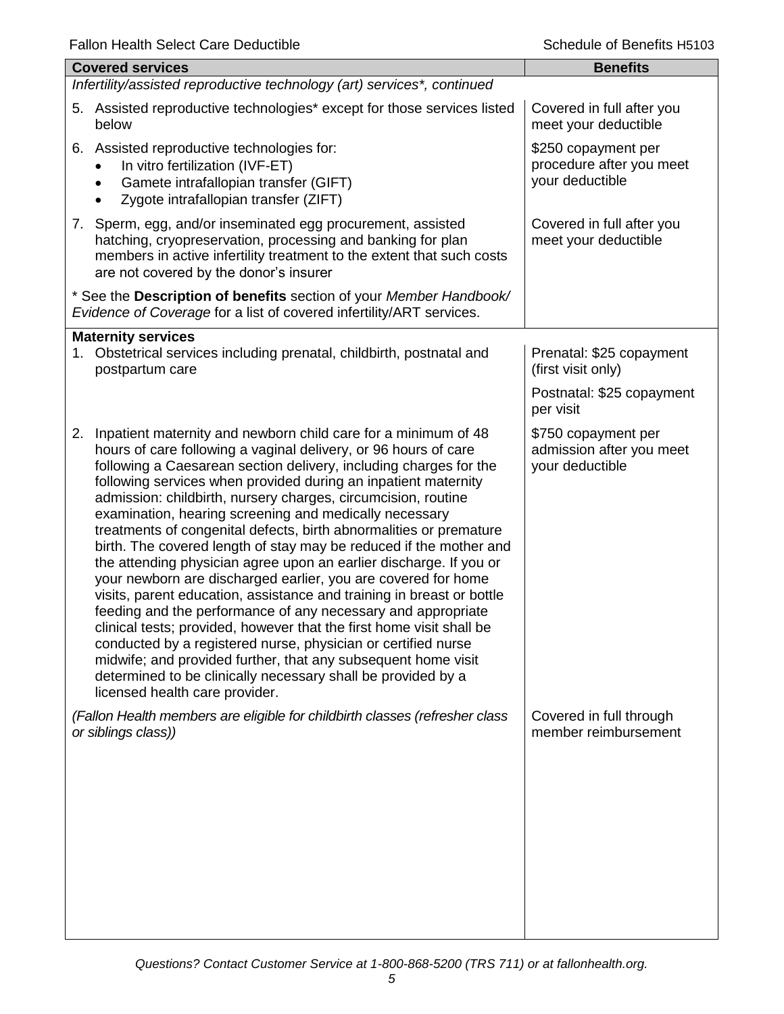| i alion i icalin ocicci oarc Dcuuciloic                                                                                                                                                                                                                                                                                                                                                                                                                                                                                                                                                                                                                                                                                                                                                                                                                                                                                                                                                                                                                                                                                                        | פטופונוס וואסומט וואכ                                              |  |  |
|------------------------------------------------------------------------------------------------------------------------------------------------------------------------------------------------------------------------------------------------------------------------------------------------------------------------------------------------------------------------------------------------------------------------------------------------------------------------------------------------------------------------------------------------------------------------------------------------------------------------------------------------------------------------------------------------------------------------------------------------------------------------------------------------------------------------------------------------------------------------------------------------------------------------------------------------------------------------------------------------------------------------------------------------------------------------------------------------------------------------------------------------|--------------------------------------------------------------------|--|--|
| <b>Covered services</b>                                                                                                                                                                                                                                                                                                                                                                                                                                                                                                                                                                                                                                                                                                                                                                                                                                                                                                                                                                                                                                                                                                                        | <b>Benefits</b>                                                    |  |  |
| Infertility/assisted reproductive technology (art) services*, continued                                                                                                                                                                                                                                                                                                                                                                                                                                                                                                                                                                                                                                                                                                                                                                                                                                                                                                                                                                                                                                                                        |                                                                    |  |  |
| 5. Assisted reproductive technologies* except for those services listed<br>below                                                                                                                                                                                                                                                                                                                                                                                                                                                                                                                                                                                                                                                                                                                                                                                                                                                                                                                                                                                                                                                               | Covered in full after you<br>meet your deductible                  |  |  |
| Assisted reproductive technologies for:<br>6.<br>In vitro fertilization (IVF-ET)<br>Gamete intrafallopian transfer (GIFT)<br>$\bullet$<br>Zygote intrafallopian transfer (ZIFT)                                                                                                                                                                                                                                                                                                                                                                                                                                                                                                                                                                                                                                                                                                                                                                                                                                                                                                                                                                | \$250 copayment per<br>procedure after you meet<br>your deductible |  |  |
| 7. Sperm, egg, and/or inseminated egg procurement, assisted<br>hatching, cryopreservation, processing and banking for plan<br>members in active infertility treatment to the extent that such costs<br>are not covered by the donor's insurer                                                                                                                                                                                                                                                                                                                                                                                                                                                                                                                                                                                                                                                                                                                                                                                                                                                                                                  | Covered in full after you<br>meet your deductible                  |  |  |
| * See the Description of benefits section of your Member Handbook/<br>Evidence of Coverage for a list of covered infertility/ART services.                                                                                                                                                                                                                                                                                                                                                                                                                                                                                                                                                                                                                                                                                                                                                                                                                                                                                                                                                                                                     |                                                                    |  |  |
| <b>Maternity services</b><br>1. Obstetrical services including prenatal, childbirth, postnatal and<br>postpartum care                                                                                                                                                                                                                                                                                                                                                                                                                                                                                                                                                                                                                                                                                                                                                                                                                                                                                                                                                                                                                          | Prenatal: \$25 copayment<br>(first visit only)                     |  |  |
|                                                                                                                                                                                                                                                                                                                                                                                                                                                                                                                                                                                                                                                                                                                                                                                                                                                                                                                                                                                                                                                                                                                                                | Postnatal: \$25 copayment<br>per visit                             |  |  |
| 2. Inpatient maternity and newborn child care for a minimum of 48<br>hours of care following a vaginal delivery, or 96 hours of care<br>following a Caesarean section delivery, including charges for the<br>following services when provided during an inpatient maternity<br>admission: childbirth, nursery charges, circumcision, routine<br>examination, hearing screening and medically necessary<br>treatments of congenital defects, birth abnormalities or premature<br>birth. The covered length of stay may be reduced if the mother and<br>the attending physician agree upon an earlier discharge. If you or<br>your newborn are discharged earlier, you are covered for home<br>visits, parent education, assistance and training in breast or bottle<br>feeding and the performance of any necessary and appropriate<br>clinical tests; provided, however that the first home visit shall be<br>conducted by a registered nurse, physician or certified nurse<br>midwife; and provided further, that any subsequent home visit<br>determined to be clinically necessary shall be provided by a<br>licensed health care provider. | \$750 copayment per<br>admission after you meet<br>your deductible |  |  |
| (Fallon Health members are eligible for childbirth classes (refresher class<br>or siblings class))                                                                                                                                                                                                                                                                                                                                                                                                                                                                                                                                                                                                                                                                                                                                                                                                                                                                                                                                                                                                                                             | Covered in full through<br>member reimbursement                    |  |  |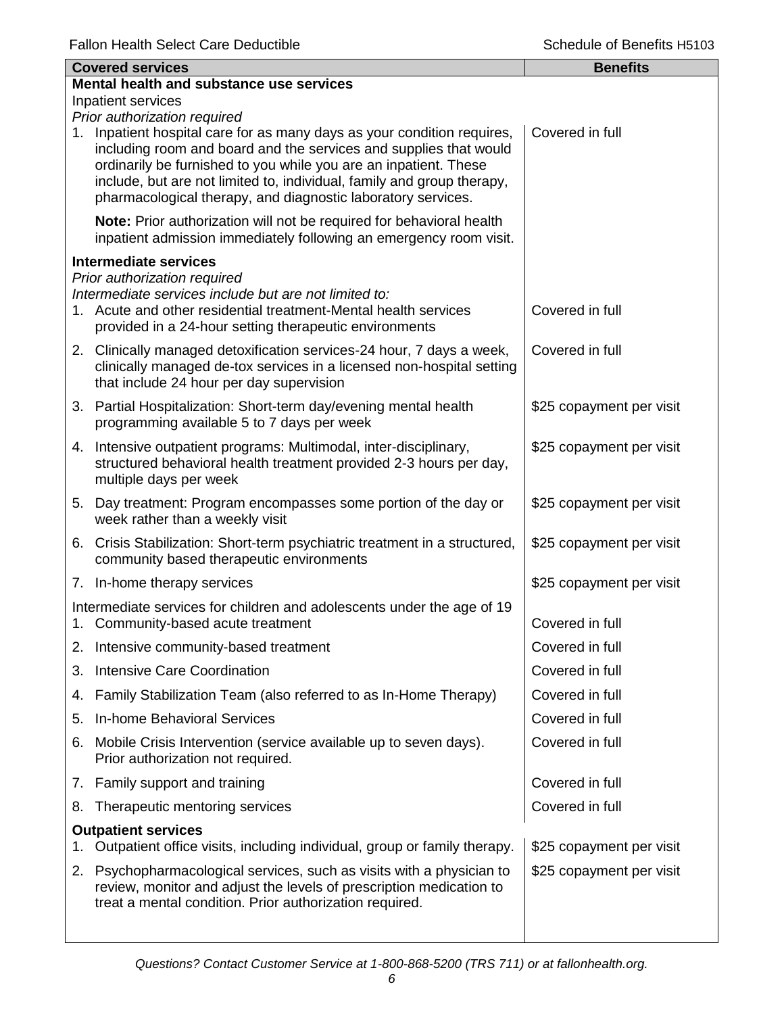| <b>Covered services</b> |                                                                                                                                                                                                                                                                                                                                                            | <b>Benefits</b>          |
|-------------------------|------------------------------------------------------------------------------------------------------------------------------------------------------------------------------------------------------------------------------------------------------------------------------------------------------------------------------------------------------------|--------------------------|
|                         | Mental health and substance use services                                                                                                                                                                                                                                                                                                                   |                          |
|                         | Inpatient services<br>Prior authorization required                                                                                                                                                                                                                                                                                                         |                          |
|                         | 1. Inpatient hospital care for as many days as your condition requires,<br>including room and board and the services and supplies that would<br>ordinarily be furnished to you while you are an inpatient. These<br>include, but are not limited to, individual, family and group therapy,<br>pharmacological therapy, and diagnostic laboratory services. | Covered in full          |
|                         | Note: Prior authorization will not be required for behavioral health<br>inpatient admission immediately following an emergency room visit.                                                                                                                                                                                                                 |                          |
|                         | Intermediate services                                                                                                                                                                                                                                                                                                                                      |                          |
|                         | Prior authorization required<br>Intermediate services include but are not limited to:<br>1. Acute and other residential treatment-Mental health services<br>provided in a 24-hour setting therapeutic environments                                                                                                                                         | Covered in full          |
|                         | 2. Clinically managed detoxification services-24 hour, 7 days a week,<br>clinically managed de-tox services in a licensed non-hospital setting<br>that include 24 hour per day supervision                                                                                                                                                                 | Covered in full          |
|                         | 3. Partial Hospitalization: Short-term day/evening mental health<br>programming available 5 to 7 days per week                                                                                                                                                                                                                                             | \$25 copayment per visit |
|                         | 4. Intensive outpatient programs: Multimodal, inter-disciplinary,<br>structured behavioral health treatment provided 2-3 hours per day,<br>multiple days per week                                                                                                                                                                                          | \$25 copayment per visit |
|                         | 5. Day treatment: Program encompasses some portion of the day or<br>week rather than a weekly visit                                                                                                                                                                                                                                                        | \$25 copayment per visit |
|                         | 6. Crisis Stabilization: Short-term psychiatric treatment in a structured,<br>community based therapeutic environments                                                                                                                                                                                                                                     | \$25 copayment per visit |
|                         | 7. In-home therapy services                                                                                                                                                                                                                                                                                                                                | \$25 copayment per visit |
|                         | Intermediate services for children and adolescents under the age of 19<br>1. Community-based acute treatment                                                                                                                                                                                                                                               | Covered in full          |
| 2.                      | Intensive community-based treatment                                                                                                                                                                                                                                                                                                                        | Covered in full          |
| 3.                      | Intensive Care Coordination                                                                                                                                                                                                                                                                                                                                | Covered in full          |
| 4.                      | Family Stabilization Team (also referred to as In-Home Therapy)                                                                                                                                                                                                                                                                                            | Covered in full          |
| 5.                      | <b>In-home Behavioral Services</b>                                                                                                                                                                                                                                                                                                                         | Covered in full          |
| 6.                      | Mobile Crisis Intervention (service available up to seven days).<br>Prior authorization not required.                                                                                                                                                                                                                                                      | Covered in full          |
| 7.                      | Family support and training                                                                                                                                                                                                                                                                                                                                | Covered in full          |
| 8.                      | Therapeutic mentoring services                                                                                                                                                                                                                                                                                                                             | Covered in full          |
| 1.                      | <b>Outpatient services</b><br>Outpatient office visits, including individual, group or family therapy.                                                                                                                                                                                                                                                     | \$25 copayment per visit |
| 2.                      | Psychopharmacological services, such as visits with a physician to<br>review, monitor and adjust the levels of prescription medication to<br>treat a mental condition. Prior authorization required.                                                                                                                                                       | \$25 copayment per visit |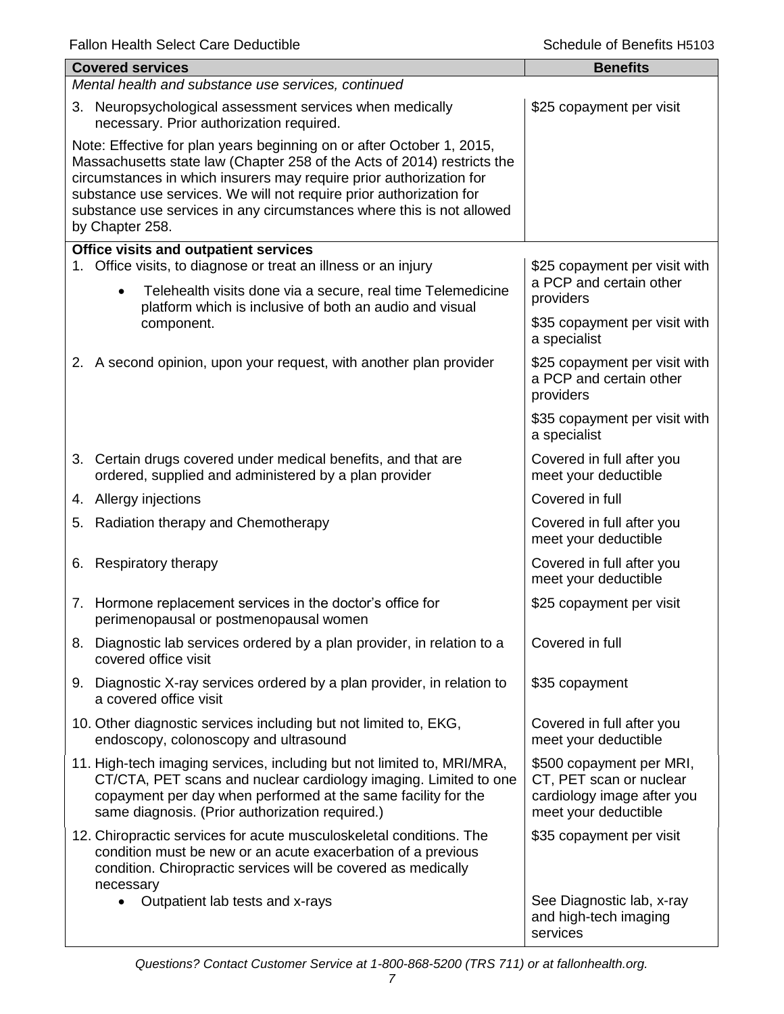|                                                                                                                                                                                                                                                                                                                                                                                            | <b>Covered services</b>                                                                                                                                                                                                                                        | <b>Benefits</b>                                                                                           |  |  |
|--------------------------------------------------------------------------------------------------------------------------------------------------------------------------------------------------------------------------------------------------------------------------------------------------------------------------------------------------------------------------------------------|----------------------------------------------------------------------------------------------------------------------------------------------------------------------------------------------------------------------------------------------------------------|-----------------------------------------------------------------------------------------------------------|--|--|
|                                                                                                                                                                                                                                                                                                                                                                                            | Mental health and substance use services, continued                                                                                                                                                                                                            |                                                                                                           |  |  |
|                                                                                                                                                                                                                                                                                                                                                                                            | 3. Neuropsychological assessment services when medically<br>necessary. Prior authorization required.                                                                                                                                                           | \$25 copayment per visit                                                                                  |  |  |
| Note: Effective for plan years beginning on or after October 1, 2015,<br>Massachusetts state law (Chapter 258 of the Acts of 2014) restricts the<br>circumstances in which insurers may require prior authorization for<br>substance use services. We will not require prior authorization for<br>substance use services in any circumstances where this is not allowed<br>by Chapter 258. |                                                                                                                                                                                                                                                                |                                                                                                           |  |  |
|                                                                                                                                                                                                                                                                                                                                                                                            | Office visits and outpatient services                                                                                                                                                                                                                          |                                                                                                           |  |  |
| 1.                                                                                                                                                                                                                                                                                                                                                                                         | Office visits, to diagnose or treat an illness or an injury<br>Telehealth visits done via a secure, real time Telemedicine<br>$\bullet$<br>platform which is inclusive of both an audio and visual                                                             | \$25 copayment per visit with<br>a PCP and certain other<br>providers                                     |  |  |
|                                                                                                                                                                                                                                                                                                                                                                                            | component.                                                                                                                                                                                                                                                     | \$35 copayment per visit with<br>a specialist                                                             |  |  |
|                                                                                                                                                                                                                                                                                                                                                                                            | 2. A second opinion, upon your request, with another plan provider                                                                                                                                                                                             | \$25 copayment per visit with<br>a PCP and certain other<br>providers                                     |  |  |
|                                                                                                                                                                                                                                                                                                                                                                                            |                                                                                                                                                                                                                                                                | \$35 copayment per visit with<br>a specialist                                                             |  |  |
|                                                                                                                                                                                                                                                                                                                                                                                            | 3. Certain drugs covered under medical benefits, and that are<br>ordered, supplied and administered by a plan provider                                                                                                                                         | Covered in full after you<br>meet your deductible                                                         |  |  |
|                                                                                                                                                                                                                                                                                                                                                                                            | 4. Allergy injections                                                                                                                                                                                                                                          | Covered in full                                                                                           |  |  |
|                                                                                                                                                                                                                                                                                                                                                                                            | 5. Radiation therapy and Chemotherapy                                                                                                                                                                                                                          | Covered in full after you<br>meet your deductible                                                         |  |  |
|                                                                                                                                                                                                                                                                                                                                                                                            | 6. Respiratory therapy                                                                                                                                                                                                                                         | Covered in full after you<br>meet your deductible                                                         |  |  |
|                                                                                                                                                                                                                                                                                                                                                                                            | 7. Hormone replacement services in the doctor's office for<br>perimenopausal or postmenopausal women                                                                                                                                                           | \$25 copayment per visit                                                                                  |  |  |
|                                                                                                                                                                                                                                                                                                                                                                                            | 8. Diagnostic lab services ordered by a plan provider, in relation to a<br>covered office visit                                                                                                                                                                | Covered in full                                                                                           |  |  |
|                                                                                                                                                                                                                                                                                                                                                                                            | 9. Diagnostic X-ray services ordered by a plan provider, in relation to<br>a covered office visit                                                                                                                                                              | \$35 copayment                                                                                            |  |  |
|                                                                                                                                                                                                                                                                                                                                                                                            | 10. Other diagnostic services including but not limited to, EKG,<br>endoscopy, colonoscopy and ultrasound                                                                                                                                                      | Covered in full after you<br>meet your deductible                                                         |  |  |
|                                                                                                                                                                                                                                                                                                                                                                                            | 11. High-tech imaging services, including but not limited to, MRI/MRA,<br>CT/CTA, PET scans and nuclear cardiology imaging. Limited to one<br>copayment per day when performed at the same facility for the<br>same diagnosis. (Prior authorization required.) | \$500 copayment per MRI,<br>CT, PET scan or nuclear<br>cardiology image after you<br>meet your deductible |  |  |
|                                                                                                                                                                                                                                                                                                                                                                                            | 12. Chiropractic services for acute musculoskeletal conditions. The<br>condition must be new or an acute exacerbation of a previous<br>condition. Chiropractic services will be covered as medically<br>necessary                                              | \$35 copayment per visit                                                                                  |  |  |
|                                                                                                                                                                                                                                                                                                                                                                                            | Outpatient lab tests and x-rays<br>$\bullet$                                                                                                                                                                                                                   | See Diagnostic lab, x-ray<br>and high-tech imaging<br>services                                            |  |  |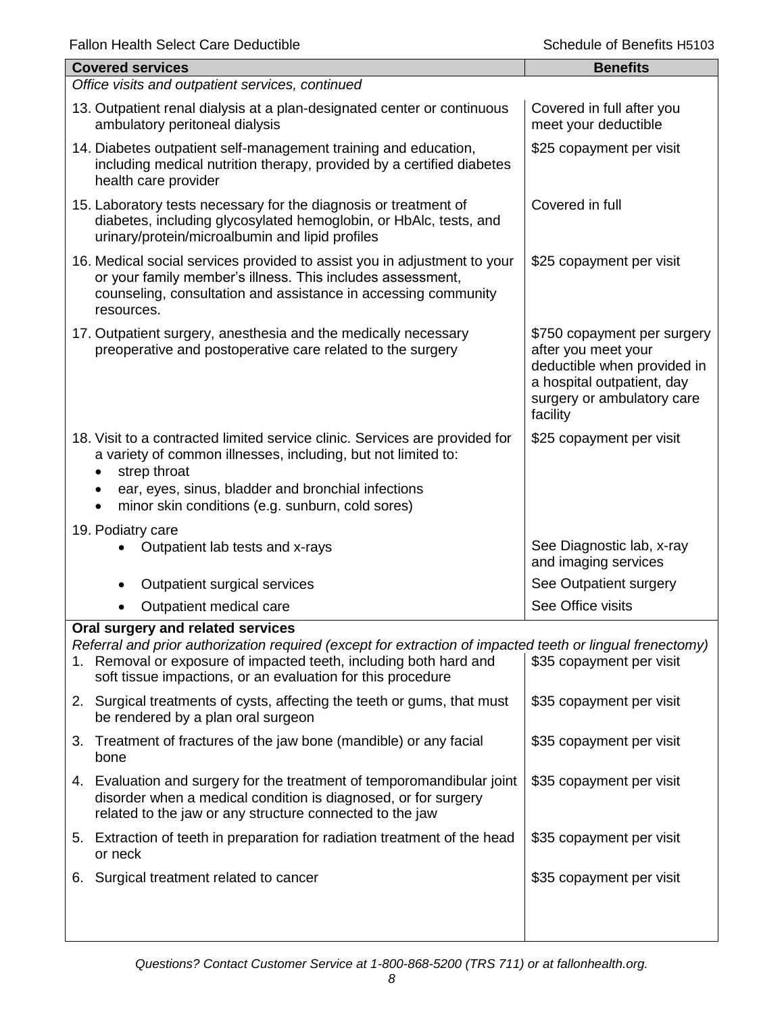|    | <b>Fallon Health Select Care Dequatible</b><br>Scriedule di Berlehis Hotus                                                                                                                                                                                                      |                                                                                                                                                           |  |  |
|----|---------------------------------------------------------------------------------------------------------------------------------------------------------------------------------------------------------------------------------------------------------------------------------|-----------------------------------------------------------------------------------------------------------------------------------------------------------|--|--|
|    | <b>Covered services</b>                                                                                                                                                                                                                                                         | <b>Benefits</b>                                                                                                                                           |  |  |
|    | Office visits and outpatient services, continued                                                                                                                                                                                                                                |                                                                                                                                                           |  |  |
|    | 13. Outpatient renal dialysis at a plan-designated center or continuous<br>ambulatory peritoneal dialysis                                                                                                                                                                       | Covered in full after you<br>meet your deductible                                                                                                         |  |  |
|    | 14. Diabetes outpatient self-management training and education,<br>including medical nutrition therapy, provided by a certified diabetes<br>health care provider                                                                                                                | \$25 copayment per visit                                                                                                                                  |  |  |
|    | 15. Laboratory tests necessary for the diagnosis or treatment of<br>diabetes, including glycosylated hemoglobin, or HbAlc, tests, and<br>urinary/protein/microalbumin and lipid profiles                                                                                        | Covered in full                                                                                                                                           |  |  |
|    | 16. Medical social services provided to assist you in adjustment to your<br>or your family member's illness. This includes assessment,<br>counseling, consultation and assistance in accessing community<br>resources.                                                          | \$25 copayment per visit                                                                                                                                  |  |  |
|    | 17. Outpatient surgery, anesthesia and the medically necessary<br>preoperative and postoperative care related to the surgery                                                                                                                                                    | \$750 copayment per surgery<br>after you meet your<br>deductible when provided in<br>a hospital outpatient, day<br>surgery or ambulatory care<br>facility |  |  |
|    | 18. Visit to a contracted limited service clinic. Services are provided for<br>a variety of common illnesses, including, but not limited to:<br>strep throat<br>ear, eyes, sinus, bladder and bronchial infections<br>minor skin conditions (e.g. sunburn, cold sores)          | \$25 copayment per visit                                                                                                                                  |  |  |
|    | 19. Podiatry care                                                                                                                                                                                                                                                               |                                                                                                                                                           |  |  |
|    | Outpatient lab tests and x-rays                                                                                                                                                                                                                                                 | See Diagnostic lab, x-ray<br>and imaging services                                                                                                         |  |  |
|    | Outpatient surgical services                                                                                                                                                                                                                                                    | See Outpatient surgery                                                                                                                                    |  |  |
|    | Outpatient medical care                                                                                                                                                                                                                                                         | See Office visits                                                                                                                                         |  |  |
| 1. | Oral surgery and related services<br>Referral and prior authorization required (except for extraction of impacted teeth or lingual frenectomy)<br>Removal or exposure of impacted teeth, including both hard and<br>soft tissue impactions, or an evaluation for this procedure | \$35 copayment per visit                                                                                                                                  |  |  |
|    | 2. Surgical treatments of cysts, affecting the teeth or gums, that must<br>be rendered by a plan oral surgeon                                                                                                                                                                   | \$35 copayment per visit                                                                                                                                  |  |  |
| 3. | Treatment of fractures of the jaw bone (mandible) or any facial<br>bone                                                                                                                                                                                                         | \$35 copayment per visit                                                                                                                                  |  |  |
| 4. | Evaluation and surgery for the treatment of temporomandibular joint<br>disorder when a medical condition is diagnosed, or for surgery<br>related to the jaw or any structure connected to the jaw                                                                               | \$35 copayment per visit                                                                                                                                  |  |  |
|    | 5. Extraction of teeth in preparation for radiation treatment of the head<br>or neck                                                                                                                                                                                            | \$35 copayment per visit                                                                                                                                  |  |  |
| 6. | Surgical treatment related to cancer                                                                                                                                                                                                                                            | \$35 copayment per visit                                                                                                                                  |  |  |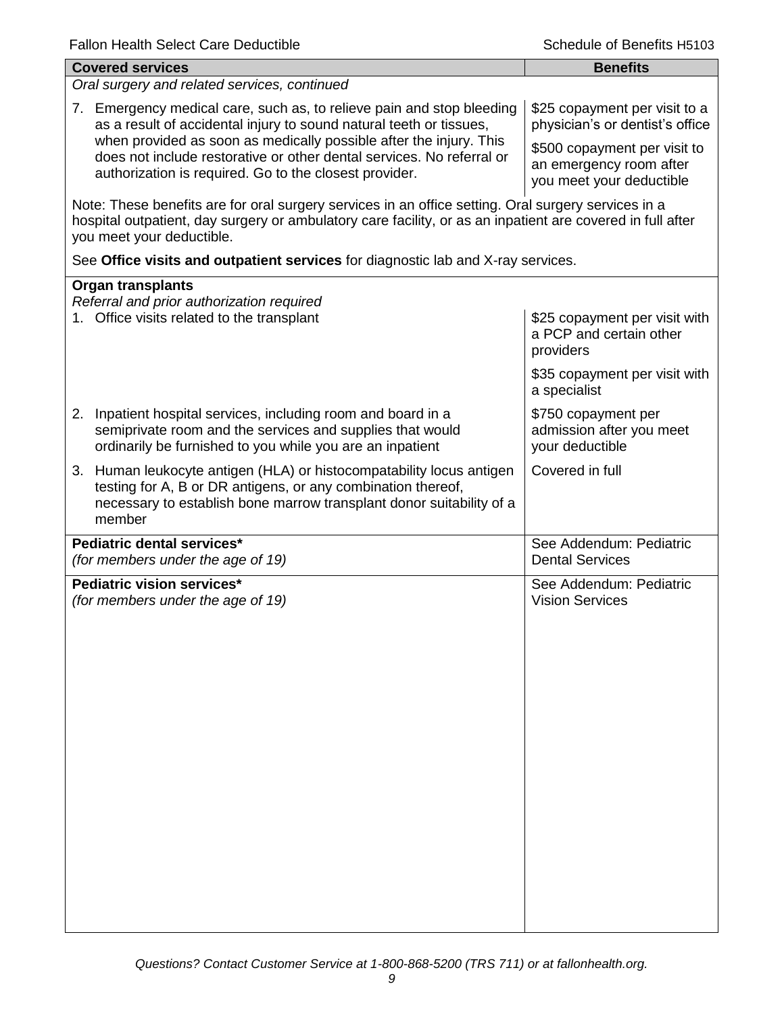| <b>Covered services</b>                                                                                                                                                                                                                        | <b>Benefits</b>                                                                     |  |  |
|------------------------------------------------------------------------------------------------------------------------------------------------------------------------------------------------------------------------------------------------|-------------------------------------------------------------------------------------|--|--|
| Oral surgery and related services, continued                                                                                                                                                                                                   |                                                                                     |  |  |
| 7. Emergency medical care, such as, to relieve pain and stop bleeding<br>as a result of accidental injury to sound natural teeth or tissues,<br>when provided as soon as medically possible after the injury. This                             | \$25 copayment per visit to a<br>physician's or dentist's office                    |  |  |
| does not include restorative or other dental services. No referral or<br>authorization is required. Go to the closest provider.                                                                                                                | \$500 copayment per visit to<br>an emergency room after<br>you meet your deductible |  |  |
| Note: These benefits are for oral surgery services in an office setting. Oral surgery services in a<br>hospital outpatient, day surgery or ambulatory care facility, or as an inpatient are covered in full after<br>you meet your deductible. |                                                                                     |  |  |
| See Office visits and outpatient services for diagnostic lab and X-ray services.                                                                                                                                                               |                                                                                     |  |  |
| <b>Organ transplants</b>                                                                                                                                                                                                                       |                                                                                     |  |  |
| Referral and prior authorization required<br>1. Office visits related to the transplant                                                                                                                                                        | \$25 copayment per visit with<br>a PCP and certain other<br>providers               |  |  |
|                                                                                                                                                                                                                                                | \$35 copayment per visit with<br>a specialist                                       |  |  |
| 2. Inpatient hospital services, including room and board in a<br>semiprivate room and the services and supplies that would<br>ordinarily be furnished to you while you are an inpatient                                                        | \$750 copayment per<br>admission after you meet<br>your deductible                  |  |  |
| 3. Human leukocyte antigen (HLA) or histocompatability locus antigen<br>testing for A, B or DR antigens, or any combination thereof,<br>necessary to establish bone marrow transplant donor suitability of a<br>member                         | Covered in full                                                                     |  |  |
| Pediatric dental services*<br>(for members under the age of 19)                                                                                                                                                                                | See Addendum: Pediatric<br><b>Dental Services</b>                                   |  |  |
| Pediatric vision services*<br>(for members under the age of 19)                                                                                                                                                                                | See Addendum: Pediatric<br><b>Vision Services</b>                                   |  |  |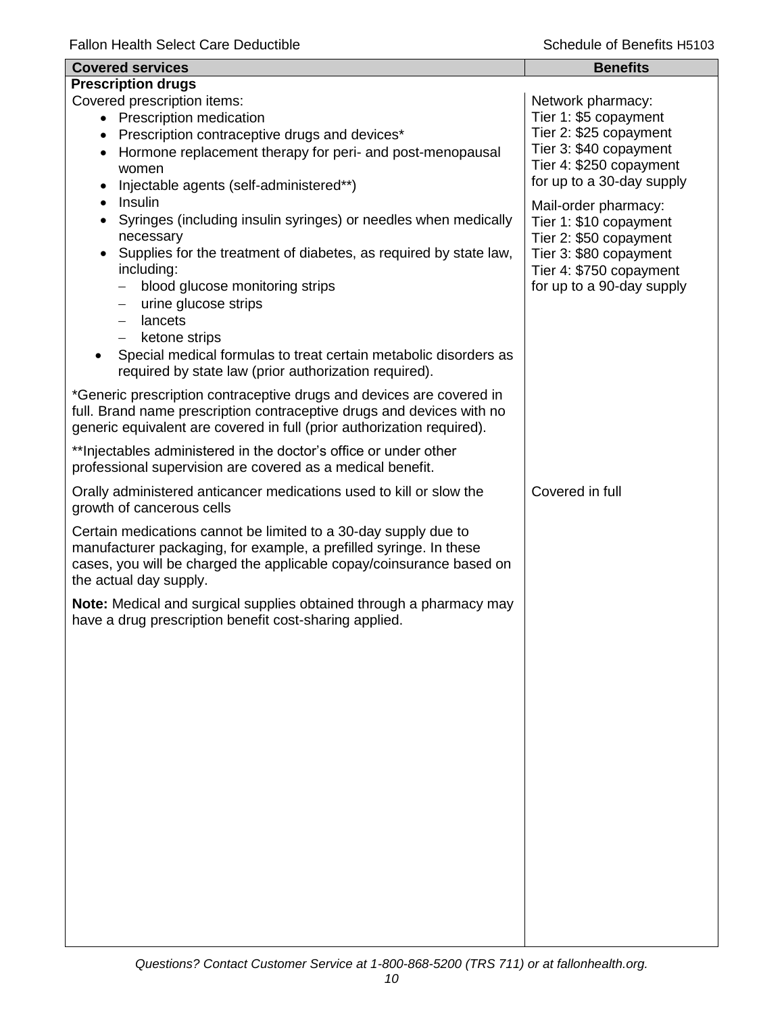| <b>Covered services</b>                                                                                                                                                                                                                                                                                                                                                                                                                                                                    | <b>Benefits</b>                                                                                                                                            |  |  |
|--------------------------------------------------------------------------------------------------------------------------------------------------------------------------------------------------------------------------------------------------------------------------------------------------------------------------------------------------------------------------------------------------------------------------------------------------------------------------------------------|------------------------------------------------------------------------------------------------------------------------------------------------------------|--|--|
| <b>Prescription drugs</b>                                                                                                                                                                                                                                                                                                                                                                                                                                                                  |                                                                                                                                                            |  |  |
| Covered prescription items:<br>• Prescription medication<br>Prescription contraceptive drugs and devices*<br>$\bullet$<br>Hormone replacement therapy for peri- and post-menopausal<br>women<br>Injectable agents (self-administered**)<br>Insulin                                                                                                                                                                                                                                         | Network pharmacy:<br>Tier 1: \$5 copayment<br>Tier 2: \$25 copayment<br>Tier 3: \$40 copayment<br>Tier 4: \$250 copayment<br>for up to a 30-day supply     |  |  |
| Syringes (including insulin syringes) or needles when medically<br>$\bullet$<br>necessary<br>Supplies for the treatment of diabetes, as required by state law,<br>including:<br>blood glucose monitoring strips<br>$\qquad \qquad -$<br>urine glucose strips<br>$\overline{\phantom{m}}$<br>lancets<br>$\overline{\phantom{0}}$<br>ketone strips<br>Special medical formulas to treat certain metabolic disorders as<br>$\bullet$<br>required by state law (prior authorization required). | Mail-order pharmacy:<br>Tier 1: \$10 copayment<br>Tier 2: \$50 copayment<br>Tier 3: \$80 copayment<br>Tier 4: \$750 copayment<br>for up to a 90-day supply |  |  |
| *Generic prescription contraceptive drugs and devices are covered in<br>full. Brand name prescription contraceptive drugs and devices with no<br>generic equivalent are covered in full (prior authorization required).                                                                                                                                                                                                                                                                    |                                                                                                                                                            |  |  |
| ** Injectables administered in the doctor's office or under other<br>professional supervision are covered as a medical benefit.                                                                                                                                                                                                                                                                                                                                                            |                                                                                                                                                            |  |  |
| Orally administered anticancer medications used to kill or slow the<br>growth of cancerous cells                                                                                                                                                                                                                                                                                                                                                                                           | Covered in full                                                                                                                                            |  |  |
| Certain medications cannot be limited to a 30-day supply due to<br>manufacturer packaging, for example, a prefilled syringe. In these<br>cases, you will be charged the applicable copay/coinsurance based on<br>the actual day supply.                                                                                                                                                                                                                                                    |                                                                                                                                                            |  |  |
| Note: Medical and surgical supplies obtained through a pharmacy may<br>have a drug prescription benefit cost-sharing applied.                                                                                                                                                                                                                                                                                                                                                              |                                                                                                                                                            |  |  |
|                                                                                                                                                                                                                                                                                                                                                                                                                                                                                            |                                                                                                                                                            |  |  |
|                                                                                                                                                                                                                                                                                                                                                                                                                                                                                            |                                                                                                                                                            |  |  |
|                                                                                                                                                                                                                                                                                                                                                                                                                                                                                            |                                                                                                                                                            |  |  |
|                                                                                                                                                                                                                                                                                                                                                                                                                                                                                            |                                                                                                                                                            |  |  |
|                                                                                                                                                                                                                                                                                                                                                                                                                                                                                            |                                                                                                                                                            |  |  |
|                                                                                                                                                                                                                                                                                                                                                                                                                                                                                            |                                                                                                                                                            |  |  |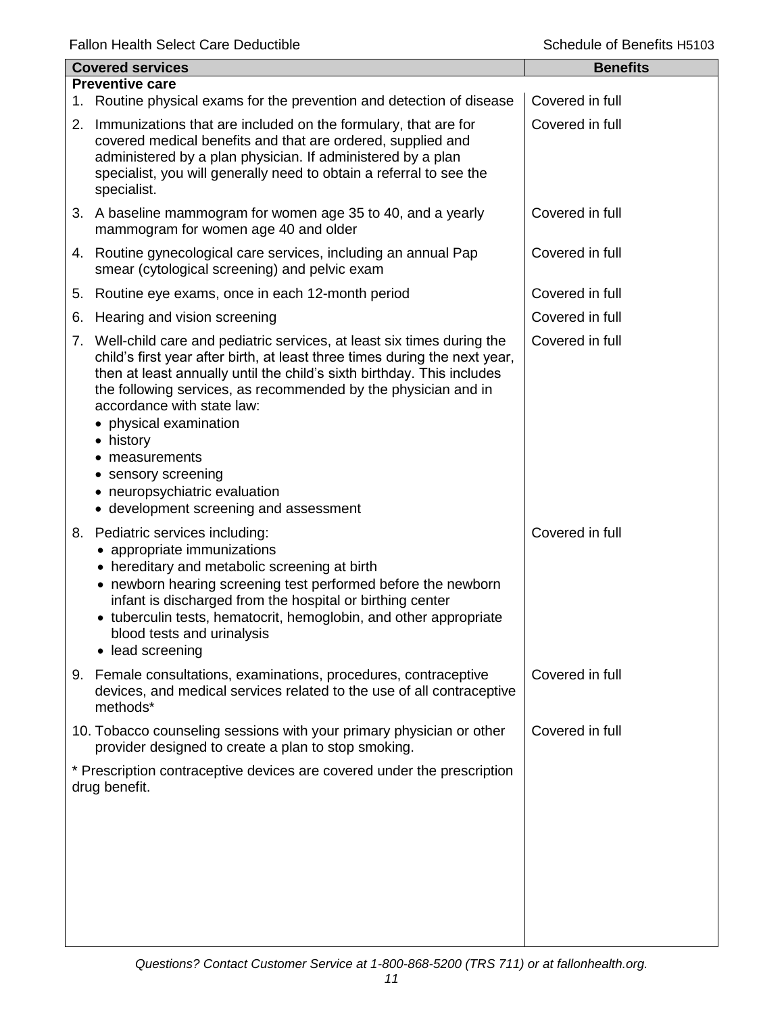| <b>Covered services</b> |                                                                                                                                                                                                                                                                                                                                                                                                                                                                                           | <b>Benefits</b> |  |  |
|-------------------------|-------------------------------------------------------------------------------------------------------------------------------------------------------------------------------------------------------------------------------------------------------------------------------------------------------------------------------------------------------------------------------------------------------------------------------------------------------------------------------------------|-----------------|--|--|
| <b>Preventive care</b>  |                                                                                                                                                                                                                                                                                                                                                                                                                                                                                           |                 |  |  |
|                         | 1. Routine physical exams for the prevention and detection of disease                                                                                                                                                                                                                                                                                                                                                                                                                     | Covered in full |  |  |
|                         | 2. Immunizations that are included on the formulary, that are for<br>covered medical benefits and that are ordered, supplied and<br>administered by a plan physician. If administered by a plan<br>specialist, you will generally need to obtain a referral to see the<br>specialist.                                                                                                                                                                                                     | Covered in full |  |  |
|                         | 3. A baseline mammogram for women age 35 to 40, and a yearly<br>mammogram for women age 40 and older                                                                                                                                                                                                                                                                                                                                                                                      | Covered in full |  |  |
|                         | 4. Routine gynecological care services, including an annual Pap<br>smear (cytological screening) and pelvic exam                                                                                                                                                                                                                                                                                                                                                                          | Covered in full |  |  |
| 5.                      | Routine eye exams, once in each 12-month period                                                                                                                                                                                                                                                                                                                                                                                                                                           | Covered in full |  |  |
| 6.                      | Hearing and vision screening                                                                                                                                                                                                                                                                                                                                                                                                                                                              | Covered in full |  |  |
|                         | 7. Well-child care and pediatric services, at least six times during the<br>child's first year after birth, at least three times during the next year,<br>then at least annually until the child's sixth birthday. This includes<br>the following services, as recommended by the physician and in<br>accordance with state law:<br>• physical examination<br>• history<br>measurements<br>• sensory screening<br>• neuropsychiatric evaluation<br>• development screening and assessment | Covered in full |  |  |
|                         | 8. Pediatric services including:<br>• appropriate immunizations<br>• hereditary and metabolic screening at birth<br>• newborn hearing screening test performed before the newborn<br>infant is discharged from the hospital or birthing center<br>• tuberculin tests, hematocrit, hemoglobin, and other appropriate<br>blood tests and urinalysis<br>• lead screening                                                                                                                     | Covered in full |  |  |
|                         | 9. Female consultations, examinations, procedures, contraceptive<br>devices, and medical services related to the use of all contraceptive<br>methods*                                                                                                                                                                                                                                                                                                                                     | Covered in full |  |  |
|                         | 10. Tobacco counseling sessions with your primary physician or other<br>provider designed to create a plan to stop smoking.                                                                                                                                                                                                                                                                                                                                                               | Covered in full |  |  |
|                         | * Prescription contraceptive devices are covered under the prescription<br>drug benefit.                                                                                                                                                                                                                                                                                                                                                                                                  |                 |  |  |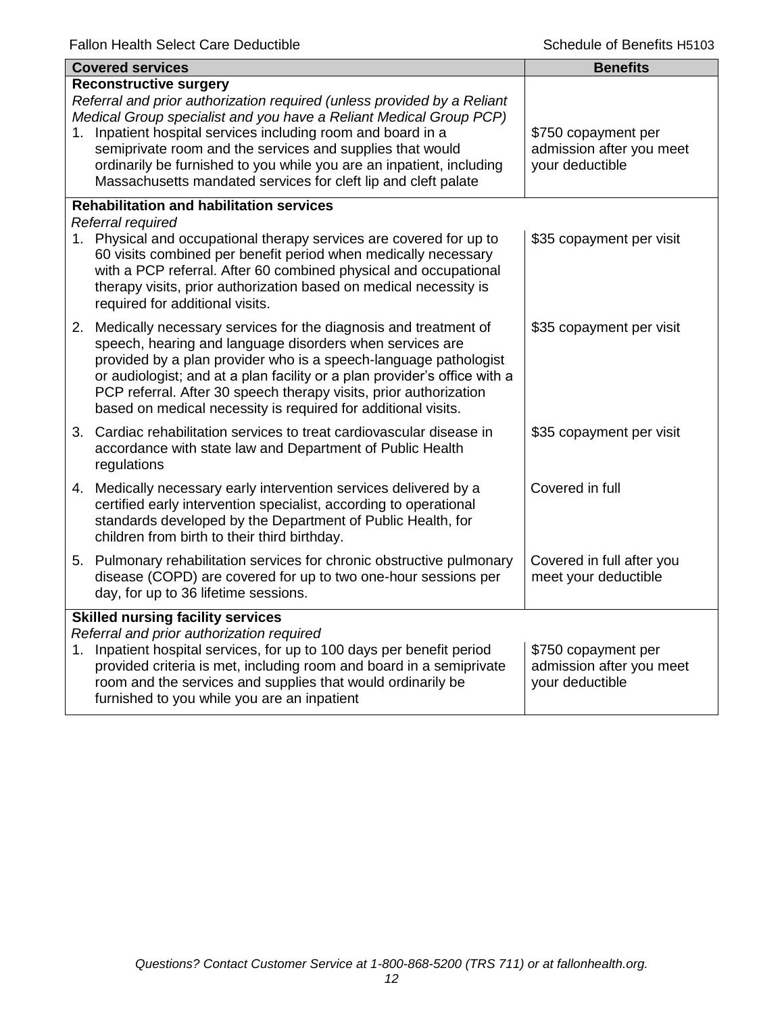|    | <b>Covered services</b>                                                                                                                                                                                                                                                                                                                                                                                                                            | <b>Benefits</b>                                                    |
|----|----------------------------------------------------------------------------------------------------------------------------------------------------------------------------------------------------------------------------------------------------------------------------------------------------------------------------------------------------------------------------------------------------------------------------------------------------|--------------------------------------------------------------------|
| 1. | <b>Reconstructive surgery</b><br>Referral and prior authorization required (unless provided by a Reliant<br>Medical Group specialist and you have a Reliant Medical Group PCP)<br>Inpatient hospital services including room and board in a<br>semiprivate room and the services and supplies that would<br>ordinarily be furnished to you while you are an inpatient, including<br>Massachusetts mandated services for cleft lip and cleft palate | \$750 copayment per<br>admission after you meet<br>your deductible |
|    | <b>Rehabilitation and habilitation services</b><br>Referral required<br>1. Physical and occupational therapy services are covered for up to<br>60 visits combined per benefit period when medically necessary<br>with a PCP referral. After 60 combined physical and occupational<br>therapy visits, prior authorization based on medical necessity is<br>required for additional visits.                                                          | \$35 copayment per visit                                           |
|    | 2. Medically necessary services for the diagnosis and treatment of<br>speech, hearing and language disorders when services are<br>provided by a plan provider who is a speech-language pathologist<br>or audiologist; and at a plan facility or a plan provider's office with a<br>PCP referral. After 30 speech therapy visits, prior authorization<br>based on medical necessity is required for additional visits.                              | \$35 copayment per visit                                           |
|    | 3. Cardiac rehabilitation services to treat cardiovascular disease in<br>accordance with state law and Department of Public Health<br>regulations                                                                                                                                                                                                                                                                                                  | \$35 copayment per visit                                           |
|    | 4. Medically necessary early intervention services delivered by a<br>certified early intervention specialist, according to operational<br>standards developed by the Department of Public Health, for<br>children from birth to their third birthday.                                                                                                                                                                                              | Covered in full                                                    |
|    | 5. Pulmonary rehabilitation services for chronic obstructive pulmonary<br>disease (COPD) are covered for up to two one-hour sessions per<br>day, for up to 36 lifetime sessions.                                                                                                                                                                                                                                                                   | Covered in full after you<br>meet your deductible                  |
|    | <b>Skilled nursing facility services</b><br>Referral and prior authorization required<br>1. Inpatient hospital services, for up to 100 days per benefit period<br>provided criteria is met, including room and board in a semiprivate<br>room and the services and supplies that would ordinarily be<br>furnished to you while you are an inpatient                                                                                                | \$750 copayment per<br>admission after you meet<br>your deductible |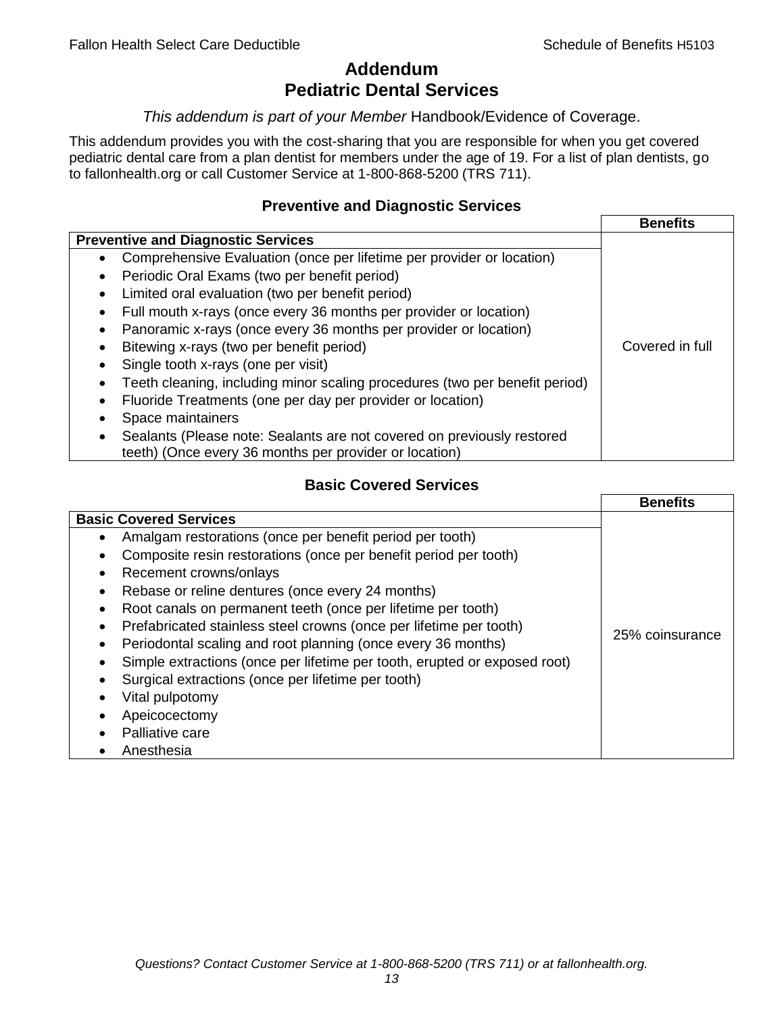## **Addendum Pediatric Dental Services**

#### *This addendum is part of your Member* Handbook/Evidence of Coverage.

This addendum provides you with the cost-sharing that you are responsible for when you get covered pediatric dental care from a plan dentist for members under the age of 19. For a list of plan dentists, go to fallonhealth.org or call Customer Service at 1-800-868-5200 (TRS 711).

### **Preventive and Diagnostic Services**

|                                                                             | <b>Benefits</b> |
|-----------------------------------------------------------------------------|-----------------|
| <b>Preventive and Diagnostic Services</b>                                   |                 |
| Comprehensive Evaluation (once per lifetime per provider or location)<br>٠  |                 |
| Periodic Oral Exams (two per benefit period)<br>$\bullet$                   |                 |
| Limited oral evaluation (two per benefit period)<br>$\bullet$               |                 |
| Full mouth x-rays (once every 36 months per provider or location)<br>٠      |                 |
| Panoramic x-rays (once every 36 months per provider or location)            |                 |
| Bitewing x-rays (two per benefit period)<br>٠                               | Covered in full |
| Single tooth x-rays (one per visit)                                         |                 |
| Teeth cleaning, including minor scaling procedures (two per benefit period) |                 |
| Fluoride Treatments (one per day per provider or location)<br>٠             |                 |
| Space maintainers                                                           |                 |
| Sealants (Please note: Sealants are not covered on previously restored      |                 |
| teeth) (Once every 36 months per provider or location)                      |                 |

## **Basic Covered Services**

|                                                                                                                                                                                                                                                                                                                                                                                           | <b>Benefits</b> |
|-------------------------------------------------------------------------------------------------------------------------------------------------------------------------------------------------------------------------------------------------------------------------------------------------------------------------------------------------------------------------------------------|-----------------|
| <b>Basic Covered Services</b><br>Amalgam restorations (once per benefit period per tooth)<br>Composite resin restorations (once per benefit period per tooth)<br>Recement crowns/onlays                                                                                                                                                                                                   |                 |
| Rebase or reline dentures (once every 24 months)<br>Root canals on permanent teeth (once per lifetime per tooth)<br>Prefabricated stainless steel crowns (once per lifetime per tooth)<br>Periodontal scaling and root planning (once every 36 months)<br>Simple extractions (once per lifetime per tooth, erupted or exposed root)<br>Surgical extractions (once per lifetime per tooth) | 25% coinsurance |
| Vital pulpotomy<br>Apeicocectomy<br>Palliative care<br>Anesthesia                                                                                                                                                                                                                                                                                                                         |                 |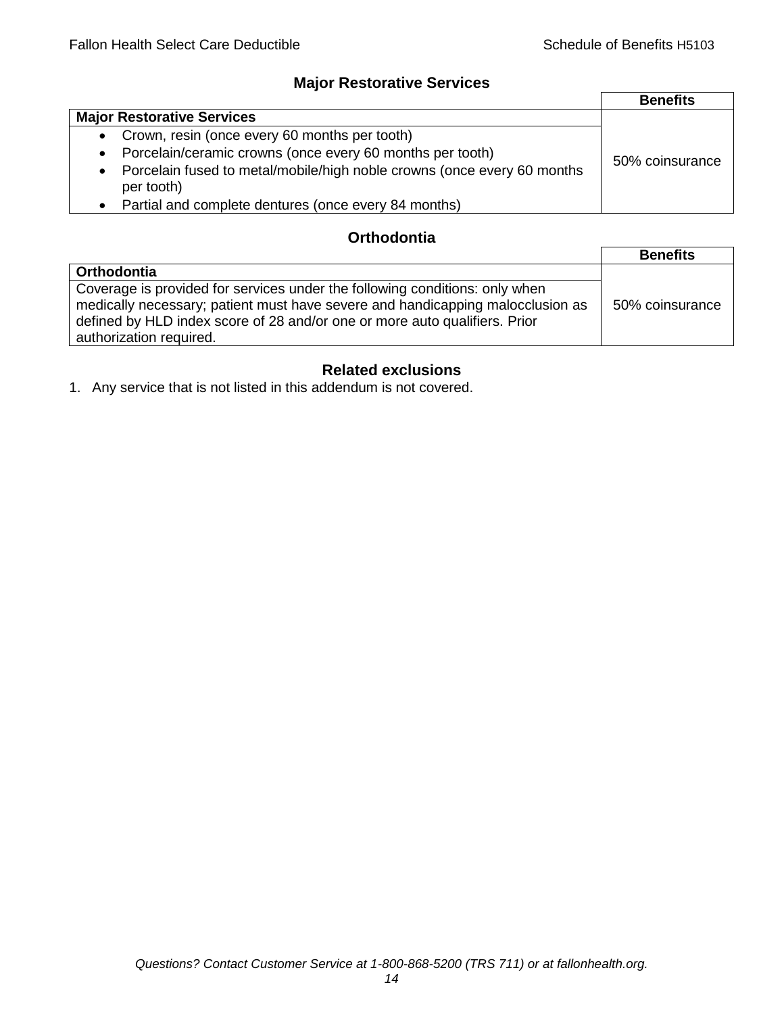## **Major Restorative Services**

|                                                                                                    | <b>Benefits</b> |
|----------------------------------------------------------------------------------------------------|-----------------|
| <b>Major Restorative Services</b>                                                                  |                 |
| • Crown, resin (once every 60 months per tooth)                                                    |                 |
| Porcelain/ceramic crowns (once every 60 months per tooth)<br>$\bullet$                             | 50% coinsurance |
| Porcelain fused to metal/mobile/high noble crowns (once every 60 months<br>$\bullet$<br>per tooth) |                 |
| Partial and complete dentures (once every 84 months)<br>$\bullet$                                  |                 |

## **Orthodontia**

|                                                                                                                                                                                                                                                                        | <b>Benefits</b> |
|------------------------------------------------------------------------------------------------------------------------------------------------------------------------------------------------------------------------------------------------------------------------|-----------------|
| Orthodontia                                                                                                                                                                                                                                                            |                 |
| Coverage is provided for services under the following conditions: only when<br>medically necessary; patient must have severe and handicapping malocclusion as<br>defined by HLD index score of 28 and/or one or more auto qualifiers. Prior<br>authorization required. | 50% coinsurance |

## **Related exclusions**

1. Any service that is not listed in this addendum is not covered.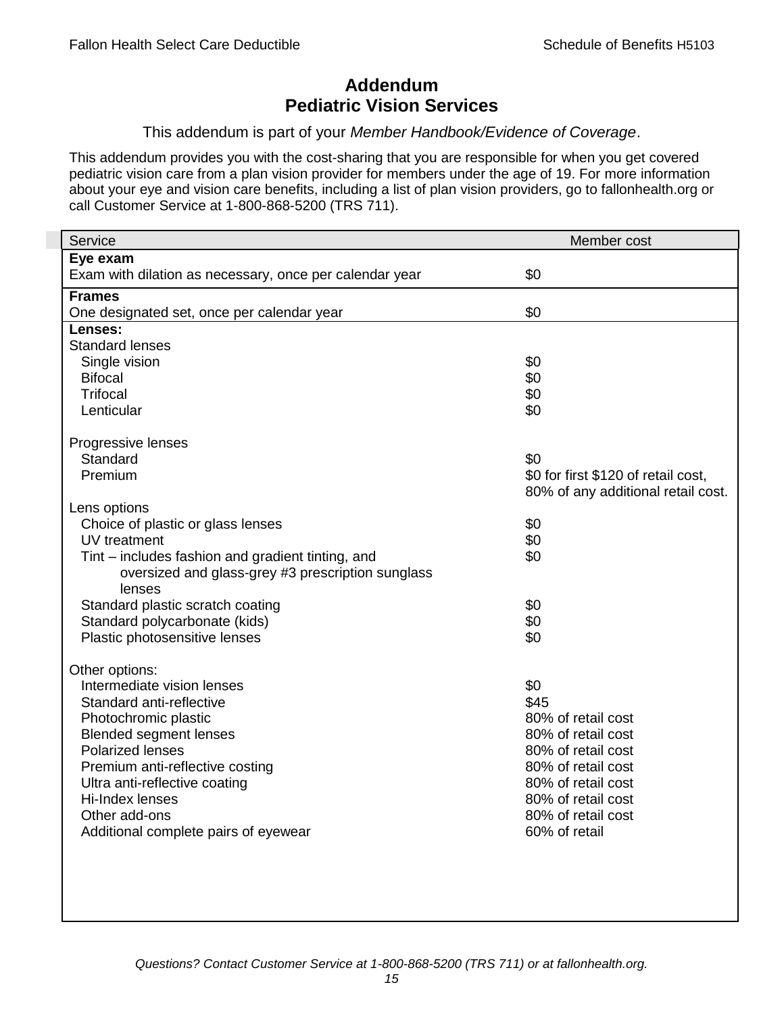## **Addendum Pediatric Vision Services**

#### This addendum is part of your *Member Handbook/Evidence of Coverage*.

This addendum provides you with the cost-sharing that you are responsible for when you get covered pediatric vision care from a plan vision provider for members under the age of 19. For more information about your eye and vision care benefits, including a list of plan vision providers, go to fallonhealth.org or call Customer Service at 1-800-868-5200 (TRS 711).

| Service                                                 | Member cost                         |
|---------------------------------------------------------|-------------------------------------|
| Eye exam                                                |                                     |
| Exam with dilation as necessary, once per calendar year | \$0                                 |
| <b>Frames</b>                                           |                                     |
| One designated set, once per calendar year              | \$0                                 |
| Lenses:                                                 |                                     |
| <b>Standard lenses</b>                                  |                                     |
| Single vision                                           | \$0                                 |
| <b>Bifocal</b>                                          | \$0                                 |
| <b>Trifocal</b>                                         | \$0                                 |
| Lenticular                                              | \$0                                 |
| Progressive lenses                                      |                                     |
| Standard                                                | \$0                                 |
| Premium                                                 | \$0 for first \$120 of retail cost, |
|                                                         | 80% of any additional retail cost.  |
| Lens options                                            |                                     |
| Choice of plastic or glass lenses                       | \$0                                 |
| UV treatment                                            | \$0                                 |
| Tint – includes fashion and gradient tinting, and       | \$0                                 |
| oversized and glass-grey #3 prescription sunglass       |                                     |
| lenses                                                  |                                     |
| Standard plastic scratch coating                        | \$0                                 |
| Standard polycarbonate (kids)                           | \$0                                 |
| Plastic photosensitive lenses                           | \$0                                 |
| Other options:                                          |                                     |
| Intermediate vision lenses                              | \$0                                 |
| Standard anti-reflective                                | \$45                                |
| Photochromic plastic                                    | 80% of retail cost                  |
| <b>Blended segment lenses</b>                           | 80% of retail cost                  |
| <b>Polarized lenses</b>                                 | 80% of retail cost                  |
| Premium anti-reflective costing                         | 80% of retail cost                  |
| Ultra anti-reflective coating                           | 80% of retail cost                  |
| Hi-Index lenses                                         | 80% of retail cost                  |
| Other add-ons                                           | 80% of retail cost                  |
| Additional complete pairs of eyewear                    | 60% of retail                       |
|                                                         |                                     |
|                                                         |                                     |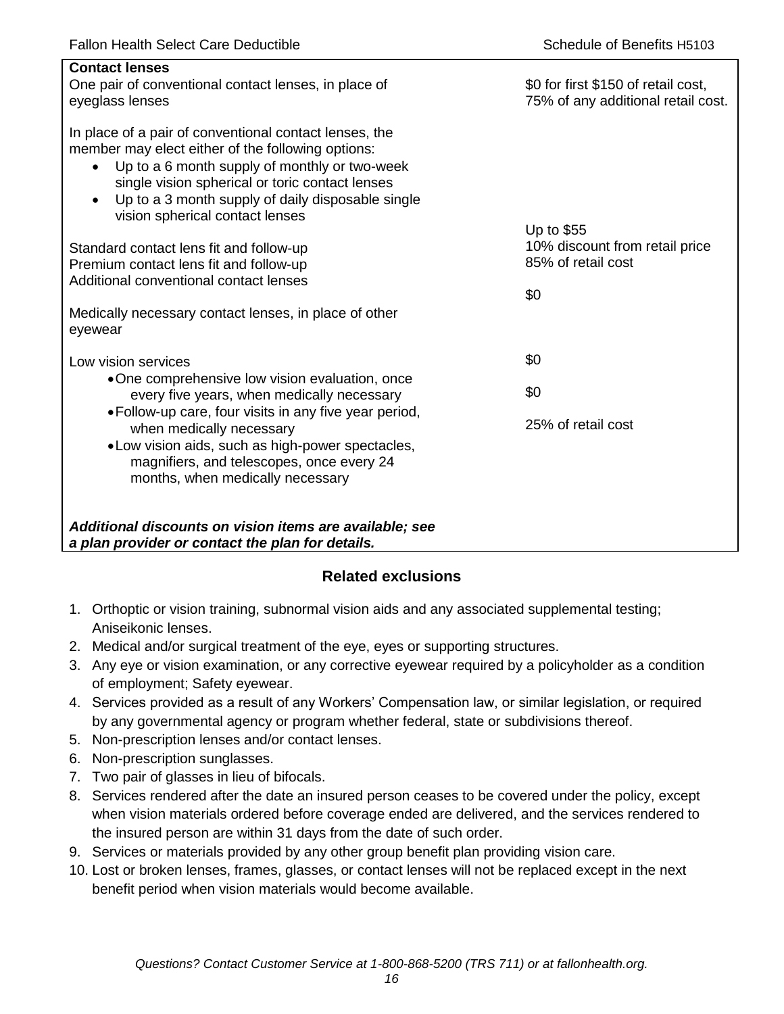| <b>Contact lenses</b><br>One pair of conventional contact lenses, in place of<br>eyeglass lenses                                                                                                                                                                                                                                  | \$0 for first \$150 of retail cost,<br>75% of any additional retail cost. |
|-----------------------------------------------------------------------------------------------------------------------------------------------------------------------------------------------------------------------------------------------------------------------------------------------------------------------------------|---------------------------------------------------------------------------|
| In place of a pair of conventional contact lenses, the<br>member may elect either of the following options:<br>Up to a 6 month supply of monthly or two-week<br>$\bullet$<br>single vision spherical or toric contact lenses<br>Up to a 3 month supply of daily disposable single<br>$\bullet$<br>vision spherical contact lenses |                                                                           |
| Standard contact lens fit and follow-up<br>Premium contact lens fit and follow-up<br>Additional conventional contact lenses                                                                                                                                                                                                       | Up to \$55<br>10% discount from retail price<br>85% of retail cost<br>\$0 |
| Medically necessary contact lenses, in place of other<br>eyewear                                                                                                                                                                                                                                                                  |                                                                           |
| Low vision services                                                                                                                                                                                                                                                                                                               | \$0                                                                       |
| •One comprehensive low vision evaluation, once<br>every five years, when medically necessary                                                                                                                                                                                                                                      | \$0                                                                       |
| • Follow-up care, four visits in any five year period,<br>when medically necessary<br>• Low vision aids, such as high-power spectacles,<br>magnifiers, and telescopes, once every 24<br>months, when medically necessary                                                                                                          | 25% of retail cost                                                        |
| Additional discounts on vision items are available; see<br>a plan provider or contact the plan for details.                                                                                                                                                                                                                       |                                                                           |

## **Related exclusions**

- 1. Orthoptic or vision training, subnormal vision aids and any associated supplemental testing; Aniseikonic lenses.
- 2. Medical and/or surgical treatment of the eye, eyes or supporting structures.
- 3. Any eye or vision examination, or any corrective eyewear required by a policyholder as a condition of employment; Safety eyewear.
- 4. Services provided as a result of any Workers' Compensation law, or similar legislation, or required by any governmental agency or program whether federal, state or subdivisions thereof.
- 5. Non-prescription lenses and/or contact lenses.
- 6. Non-prescription sunglasses.
- 7. Two pair of glasses in lieu of bifocals.
- 8. Services rendered after the date an insured person ceases to be covered under the policy, except when vision materials ordered before coverage ended are delivered, and the services rendered to the insured person are within 31 days from the date of such order.
- 9. Services or materials provided by any other group benefit plan providing vision care.
- 10. Lost or broken lenses, frames, glasses, or contact lenses will not be replaced except in the next benefit period when vision materials would become available.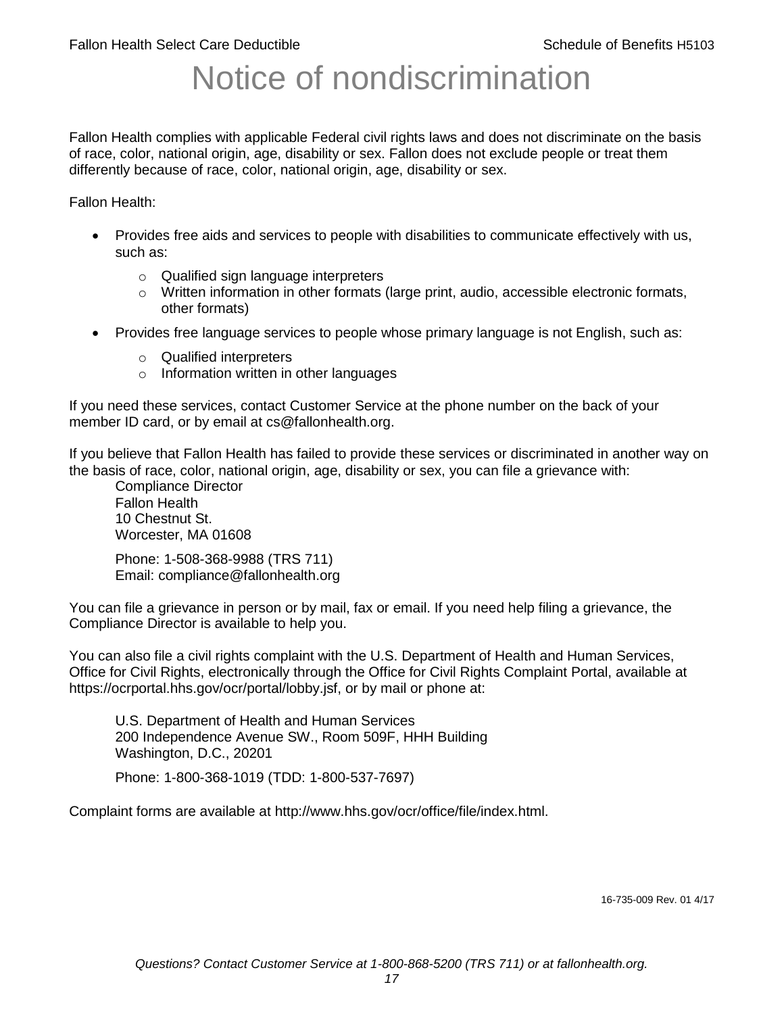# Notice of nondiscrimination

Fallon Health complies with applicable Federal civil rights laws and does not discriminate on the basis of race, color, national origin, age, disability or sex. Fallon does not exclude people or treat them differently because of race, color, national origin, age, disability or sex.

Fallon Health:

- Provides free aids and services to people with disabilities to communicate effectively with us, such as:
	- o Qualified sign language interpreters
	- $\circ$  Written information in other formats (large print, audio, accessible electronic formats, other formats)
- Provides free language services to people whose primary language is not English, such as:
	- o Qualified interpreters
	- o Information written in other languages

If you need these services, contact Customer Service at the phone number on the back of your member ID card, or by email at cs@fallonhealth.org.

If you believe that Fallon Health has failed to provide these services or discriminated in another way on the basis of race, color, national origin, age, disability or sex, you can file a grievance with:

Compliance Director Fallon Health 10 Chestnut St. Worcester, MA 01608

Phone: 1-508-368-9988 (TRS 711) Email: compliance@fallonhealth.org

You can file a grievance in person or by mail, fax or email. If you need help filing a grievance, the Compliance Director is available to help you.

You can also file a civil rights complaint with the U.S. Department of Health and Human Services, Office for Civil Rights, electronically through the Office for Civil Rights Complaint Portal, available at https://ocrportal.hhs.gov/ocr/portal/lobby.jsf, or by mail or phone at:

U.S. Department of Health and Human Services 200 Independence Avenue SW., Room 509F, HHH Building Washington, D.C., 20201

Phone: 1-800-368-1019 (TDD: 1-800-537-7697)

Complaint forms are available at http://www.hhs.gov/ocr/office/file/index.html.

16-735-009 Rev. 01 4/17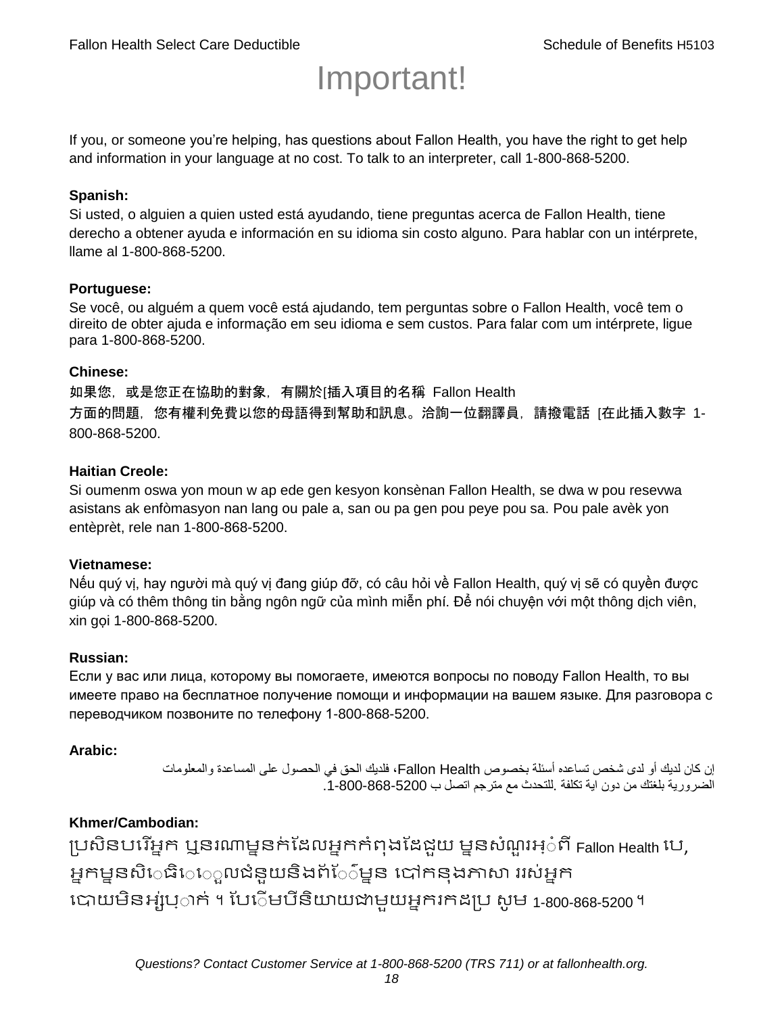# Important!

If you, or someone you're helping, has questions about Fallon Health, you have the right to get help and information in your language at no cost. To talk to an interpreter, call 1-800-868-5200.

#### **Spanish:**

Si usted, o alguien a quien usted está ayudando, tiene preguntas acerca de Fallon Health, tiene derecho a obtener ayuda e información en su idioma sin costo alguno. Para hablar con un intérprete, llame al 1-800-868-5200.

#### **Portuguese:**

Se você, ou alguém a quem você está ajudando, tem perguntas sobre o Fallon Health, você tem o direito de obter ajuda e informação em seu idioma e sem custos. Para falar com um intérprete, ligue para 1-800-868-5200.

#### **Chinese:**

如果您,或是您正在協助的對象,有關於[插入項目的名稱 Fallon Health 方面的問題, 您有權利免費以您的母語得到幫助和訊息。洽詢一位翻譯員, 請撥電話 [在此插入數字 1-800-868-5200.

#### **Haitian Creole:**

Si oumenm oswa yon moun w ap ede gen kesyon konsènan Fallon Health, se dwa w pou resevwa asistans ak enfòmasyon nan lang ou pale a, san ou pa gen pou peye pou sa. Pou pale avèk yon entèprèt, rele nan 1-800-868-5200.

#### **Vietnamese:**

Nếu quý vị, hay người mà quý vị đang giúp đỡ, có câu hỏi về Fallon Health, quý vị sẽ có quyền được giúp và có thêm thông tin bằng ngôn ngữ của mình miễn phí. Để nói chuyện với một thông dịch viên, xin gọi 1-800-868-5200.

#### **Russian:**

Если у вас или лица, которому вы помогаете, имеются вопросы по поводу Fallon Health, то вы имеете право на бесплатное получение помощи и информации на вашем языке. Для разговора с переводчиком позвоните по телефону 1-800-868-5200.

#### **Arabic:**

إن كان لديك أو لدى شخص تساعده أسئلة بخصوص Health Fallon، فلديك الحق في الحصول على المساعدة والمعلومات الضرورية بلغتك من دون اية تكلفة .للتحدث مع مترجم اتصل ب .1-800-868-5200

### **Khmer/Cambodian:**

ប្រសិនបរើអ្នក ឬនរណាម្ននក់ដែលអ្នកកំពុងដែជយ ម្ននសំណួរអ្៎ពី Fallon Health រប, អ្នកម្ននសិេធិេ្រុលជំនួយនិងព័ែ៌ម្នន បៅកនុងភាសា ររស់អ្នក រោយម្ិនអ្ស់រ្ំ ក់ ។ ដររំម្ រនី ិយាយជាម្ួយអ្នក កែប្រ សូ ម្ 1-800-868-5200 ។